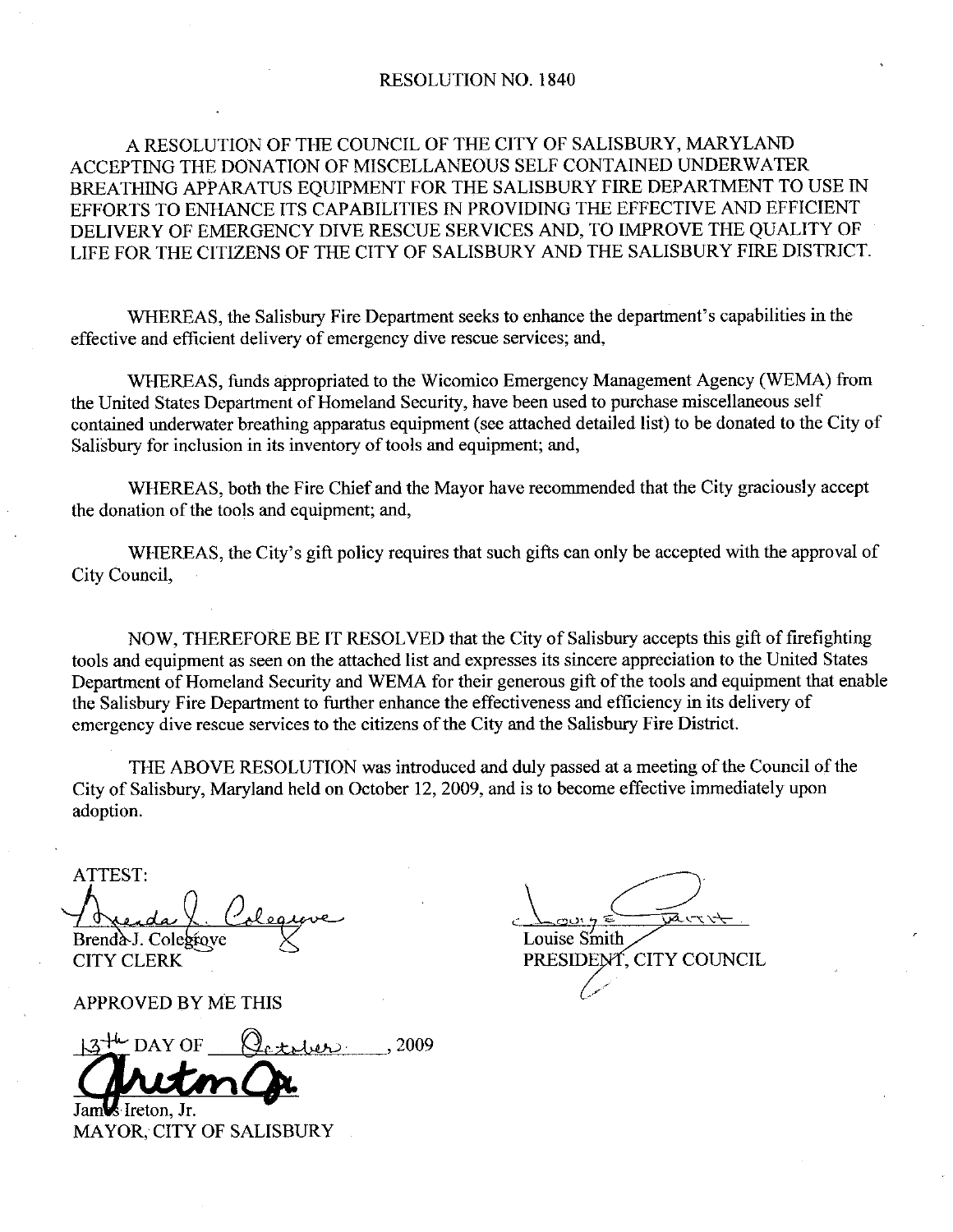#### RESOLUTION NO. 1840

#### A RESOLUTION OF THE COUNCIL OF THE CITY OF SALISBURY, MARYLAND ACCEPTING THE DONATION OF MISCELLANEOUS SELF CONTAINED UNDERWATER BREATHING APPARATUS EQUIPMENT FOR THE SALISBURY FIRE DEPARTMENT TO USE IN EFFORTS TO ENHANCE ITS CAPABILITIES IN PROVIDING THE EFFECTIVE AND EFFICIENT DELIVERY OF EMERGENCY DIVE RESCUE SERVICES AND, TO IMPROVE THE QUALITY OF LIFE FOR THE CITIZENS OF THE CITY OF SALISBURY AND THE SALISBURY FIRE DISTRICT

WHEREAS, the Salisbury Fire Department seeks to enhance the department's capabilities in the effective and efficient delivery of emergency dive rescue services; and,

WHEREAS, funds appropriated to the Wicomico Emergency Management Agency (WEMA) from the United States Department of Homeland Security, have been used to purchase miscellaneous self contained underwater breathing apparatus equipment (see attached detailed list) to be donated to the City of Salisbury for inclusion in its inventory of tools and equipment; and,

WHEREAS, both the Fire Chief and the Mayor have recommended that the City graciously accept the donation of the tools and equipment; and,

WHEREAS, the City's gift policy requires that such gifts can only be accepted with the approval of City Council

NOW, THEREFORE BE IT RESOLVED that the City of Salisbury accepts this gift of firefighting tools and equipment as seen on the attached list and expresses its sincere appreciation to the United States Department of Homeland Security and WEMA for their generous gift of the tools and equipment that enable the Salisbury Fire Department to further enhance the effectiveness and efficiency in its delivery of emergency dive rescue services to the citizens of the City and the Salisbury Fire District

THE ABOVE RESOLUTION was introduced and duly passed at a meeting of the Council of the City of Salisbury, Maryland held on October 12, 2009, and is to become effective immediately upon adoption

ATTEST Brendà J. Colegrove  $\overline{\mathcal{E}}$ 

APPROVED BY ME THIS

T:<br>
<u>da (Colegrove</u><br>
J. Colegrove<br>
LERK<br>
VED BY ME THIS<br>
DAY OF Qetology 2009<br> **ULMQ** 

Jam<sup>1</sup> Ireton, Jr. MAYOR, CITY OF SALISBURY

Louise Smith CITY CLERK PRESIDENT, CITY COUNCIL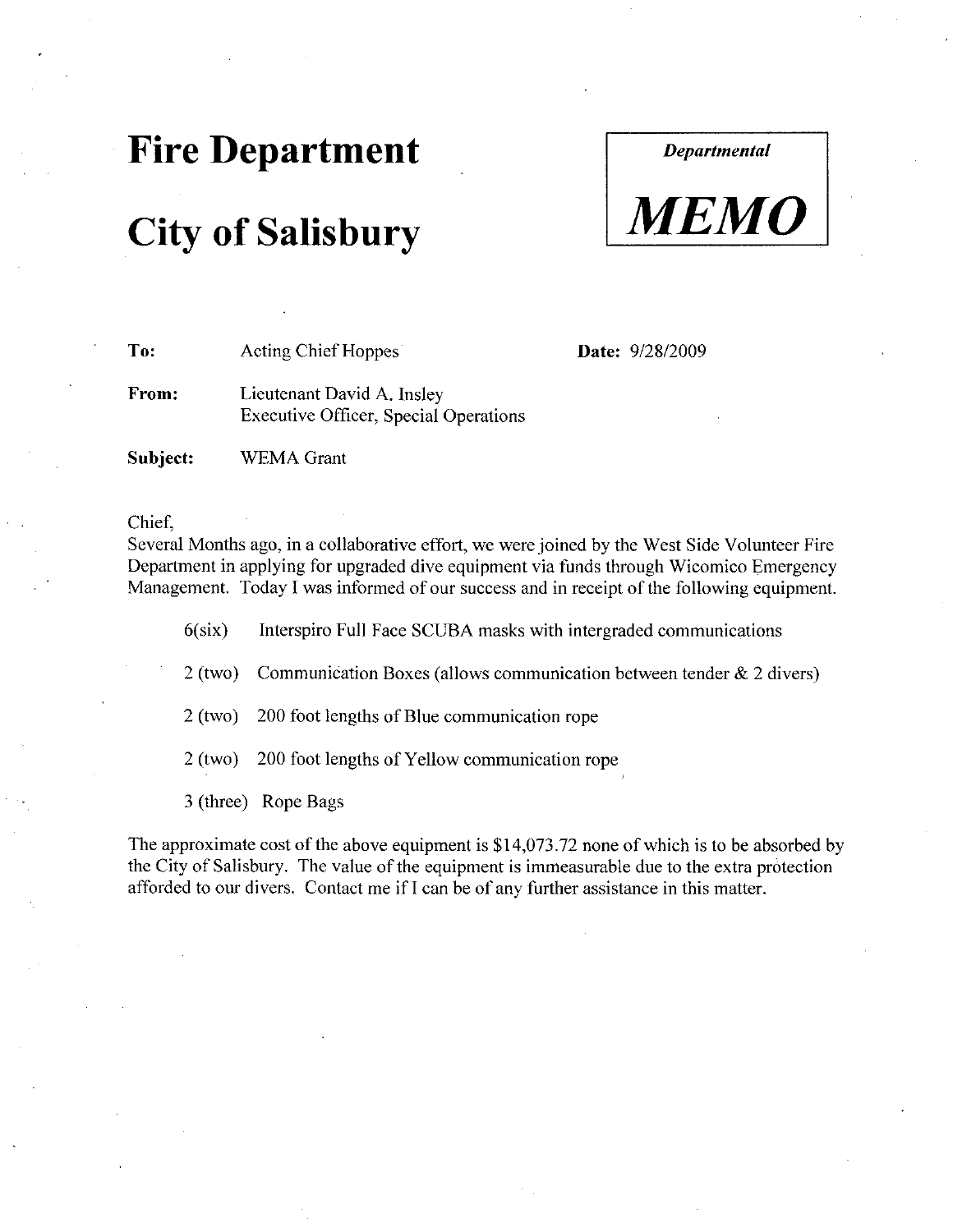## Fire Department

## **City of Salisbury**

**Departmental** 



To: Acting Chief Hoppes From: Lieutenant David A. Insley Executive Officer, Special Operations Date: 9/28/2009

Subject: WEMA Grant

#### Chief

Several Months ago, in a collaborative effort, we were joined by the West Side Volunteer Fire Department in applying for upgraded dive equipment via funds through Wicomico Emergency Management. Today I was informed of our success and in receipt of the following equipment.<br>6(six) Interspiro Full Face SCUBA masks with intergraded communications

2 (two) Communication Boxes (allows communication between tender  $\&$  2 divers)

 $2$  (two) 200 foot lengths of Blue communication rope

2 (two) 200 foot lengths of Yellow communication rope

3 (three) Rope Bags

The approximate cost of the above equipment is  $$14,073.72$  none of which is to be absorbed by the City of Salisbury. The value of the equipment is immeasurable due to the extra protection afforded to our divers. Contact me if I can be of any further assistance in this matter.